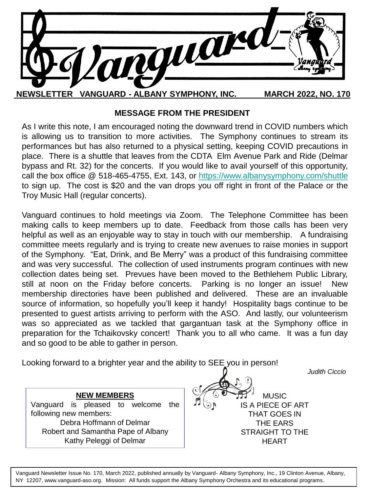

## **MESSAGE FROM THE PRESIDENT**

As I write this note, I am encouraged noting the downward trend in COVID numbers which is allowing us to transition to more activities. The Symphony continues to stream its performances but has also returned to a physical setting, keeping COVID precautions in place. There is a shuttle that leaves from the CDTA Elm Avenue Park and Ride (Delmar bypass and Rt. 32) for the concerts. If you would like to avail yourself of this opportunity, call the box office @ 518-465-4755, Ext. 143, or <https://www.albanysymphony.com/shuttle> to sign up. The cost is \$20 and the van drops you off right in front of the Palace or the Troy Music Hall (regular concerts).

Vanguard continues to hold meetings via Zoom. The Telephone Committee has been making calls to keep members up to date. Feedback from those calls has been very helpful as well as an enjoyable way to stay in touch with our membership. A fundraising committee meets regularly and is trying to create new avenues to raise monies in support of the Symphony. "Eat, Drink, and Be Merry" was a product of this fundraising committee and was very successful. The collection of used instruments program continues with new collection dates being set. Prevues have been moved to the Bethlehem Public Library, still at noon on the Friday before concerts. Parking is no longer an issue! New membership directories have been published and delivered. These are an invaluable source of information, so hopefully you'll keep it handy! Hospitality bags continue to be presented to guest artists arriving to perform with the ASO. And lastly, our volunteerism was so appreciated as we tackled that gargantuan task at the Symphony office in preparation for the Tchaikovsky concert! Thank you to all who came. It was a fun day and so good to be able to gather in person.

Looking forward to a brighter year and the ability to SEE you in person!

**NEW MEMBERS** Vanguard is pleased to welcome the following new members: Debra Hoffmann of Delmar Robert and Samantha Pape of Albany Kathy Peleggi of Delmar

 *Judith Ciccio*

MUSIC IS A PIECE OF ART THAT GOES IN THE EARS STRAIGHT TO THE HEART

Vanguard Newsletter Issue No. 170, March 2022, published annually by Vanguard- Albany Symphony, Inc., 19 Clinton Avenue, Albany, NY 12207, www.vanguard-aso.org. Mission: All funds support the Albany Symphony Orchestra and its educational programs.